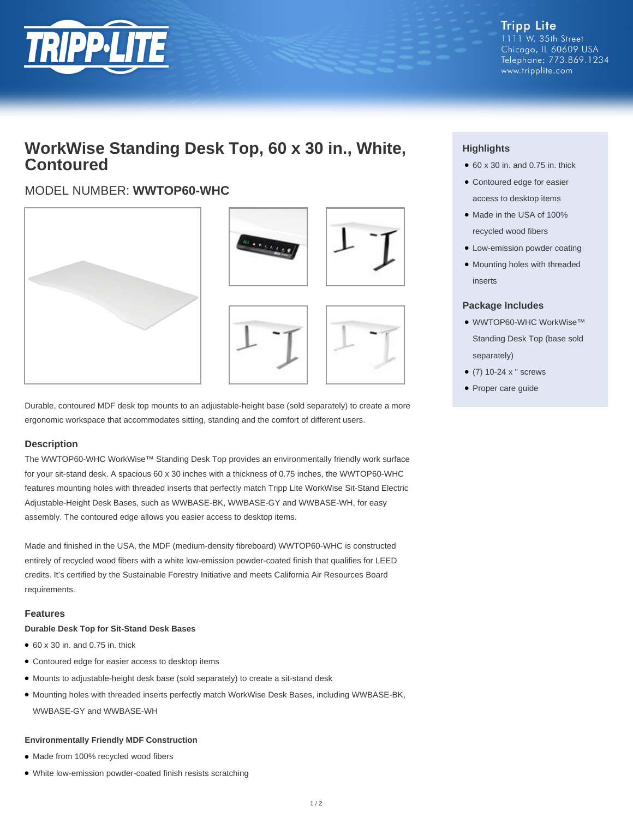

## **WorkWise Standing Desk Top, 60 x 30 in., White, Contoured**

### MODEL NUMBER: **WWTOP60-WHC**





Durable, contoured MDF desk top mounts to an adjustable-height base (sold separately) to create a more ergonomic workspace that accommodates sitting, standing and the comfort of different users.

#### **Description**

The WWTOP60-WHC WorkWise™ Standing Desk Top provides an environmentally friendly work surface for your sit-stand desk. A spacious 60 x 30 inches with a thickness of 0.75 inches, the WWTOP60-WHC features mounting holes with threaded inserts that perfectly match Tripp Lite WorkWise Sit-Stand Electric Adjustable-Height Desk Bases, such as WWBASE-BK, WWBASE-GY and WWBASE-WH, for easy assembly. The contoured edge allows you easier access to desktop items.

Made and finished in the USA, the MDF (medium-density fibreboard) WWTOP60-WHC is constructed entirely of recycled wood fibers with a white low-emission powder-coated finish that qualifies for LEED credits. It's certified by the Sustainable Forestry Initiative and meets California Air Resources Board requirements.

#### **Features**

#### **Durable Desk Top for Sit-Stand Desk Bases**

- $\bullet$  60 x 30 in. and 0.75 in. thick
- Contoured edge for easier access to desktop items
- Mounts to adjustable-height desk base (sold separately) to create a sit-stand desk
- Mounting holes with threaded inserts perfectly match WorkWise Desk Bases, including WWBASE-BK, WWBASE-GY and WWBASE-WH

#### **Environmentally Friendly MDF Construction**

- Made from 100% recycled wood fibers
- White low-emission powder-coated finish resists scratching

### **Highlights**

- $\bullet$  60 x 30 in. and 0.75 in. thick
- Contoured edge for easier access to desktop items
- Made in the USA of 100% recycled wood fibers
- Low-emission powder coating
- Mounting holes with threaded inserts

#### **Package Includes**

- WWTOP60-WHC WorkWise™ Standing Desk Top (base sold separately)
- (7) 10-24 x " screws
- Proper care guide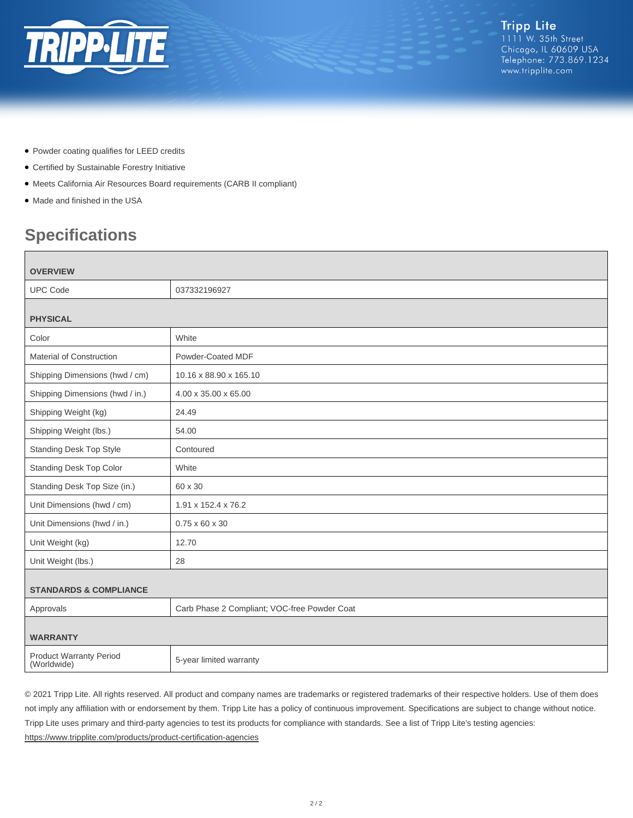

- Powder coating qualifies for LEED credits
- Certified by Sustainable Forestry Initiative
- Meets California Air Resources Board requirements (CARB II compliant)
- Made and finished in the USA

# **Specifications**

| <b>OVERVIEW</b>                               |                                              |
|-----------------------------------------------|----------------------------------------------|
| <b>UPC Code</b>                               | 037332196927                                 |
| <b>PHYSICAL</b>                               |                                              |
| Color                                         | White                                        |
| <b>Material of Construction</b>               | Powder-Coated MDF                            |
| Shipping Dimensions (hwd / cm)                | 10.16 x 88.90 x 165.10                       |
| Shipping Dimensions (hwd / in.)               | 4.00 x 35.00 x 65.00                         |
| Shipping Weight (kg)                          | 24.49                                        |
| Shipping Weight (lbs.)                        | 54.00                                        |
| <b>Standing Desk Top Style</b>                | Contoured                                    |
| <b>Standing Desk Top Color</b>                | White                                        |
| Standing Desk Top Size (in.)                  | 60 x 30                                      |
| Unit Dimensions (hwd / cm)                    | 1.91 x 152.4 x 76.2                          |
| Unit Dimensions (hwd / in.)                   | $0.75 \times 60 \times 30$                   |
| Unit Weight (kg)                              | 12.70                                        |
| Unit Weight (lbs.)                            | 28                                           |
| <b>STANDARDS &amp; COMPLIANCE</b>             |                                              |
| Approvals                                     | Carb Phase 2 Compliant; VOC-free Powder Coat |
| <b>WARRANTY</b>                               |                                              |
| <b>Product Warranty Period</b><br>(Worldwide) | 5-year limited warranty                      |

© 2021 Tripp Lite. All rights reserved. All product and company names are trademarks or registered trademarks of their respective holders. Use of them does not imply any affiliation with or endorsement by them. Tripp Lite has a policy of continuous improvement. Specifications are subject to change without notice. Tripp Lite uses primary and third-party agencies to test its products for compliance with standards. See a list of Tripp Lite's testing agencies: <https://www.tripplite.com/products/product-certification-agencies>